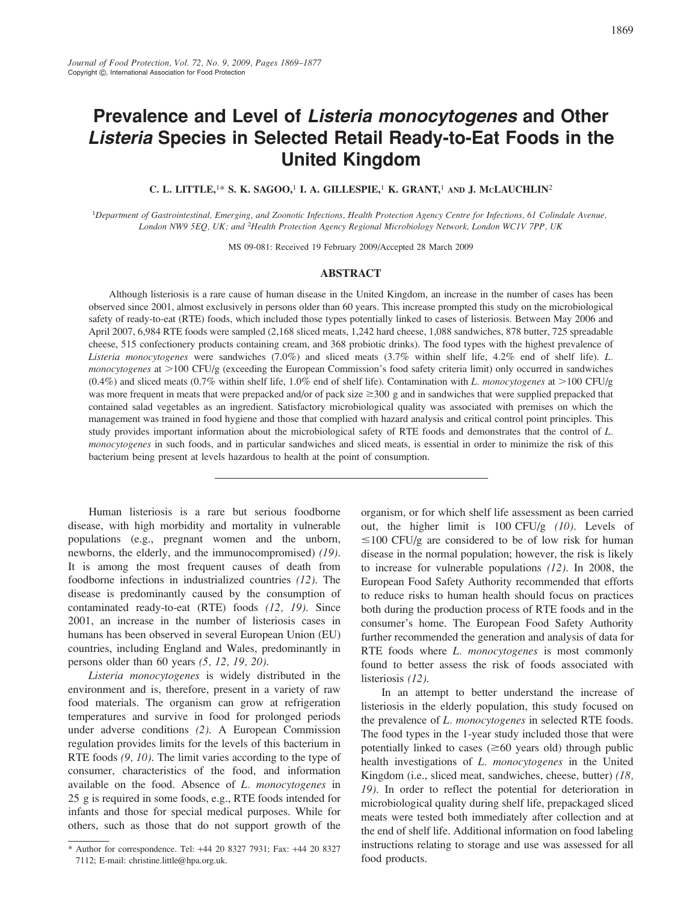# Prevalence and Level of Listeria monocytogenes and Other Listeria Species in Selected Retail Ready-to-Eat Foods in the United Kingdom

C. L. LITTLE,<sup>1\*</sup> S. K. SAGOO,<sup>1</sup> I. A. GILLESPIE,<sup>1</sup> K. GRANT,<sup>1</sup> AND J. McLAUCHLIN<sup>2</sup>

<sup>1</sup>Department of Gastrointestinal, Emerging, and Zoonotic Infections, Health Protection Agency Centre for Infections, 61 Colindale Avenue, London NW9 5EQ, UK; and <sup>2</sup>Health Protection Agency Regional Microbiology Network, London WC1V 7PP, UK

MS 09-081: Received 19 February 2009/Accepted 28 March 2009

### ABSTRACT

Although listeriosis is a rare cause of human disease in the United Kingdom, an increase in the number of cases has been observed since 2001, almost exclusively in persons older than 60 years. This increase prompted this study on the microbiological safety of ready-to-eat (RTE) foods, which included those types potentially linked to cases of listeriosis. Between May 2006 and April 2007, 6,984 RTE foods were sampled (2,168 sliced meats, 1,242 hard cheese, 1,088 sandwiches, 878 butter, 725 spreadable cheese, 515 confectionery products containing cream, and 368 probiotic drinks). The food types with the highest prevalence of Listeria monocytogenes were sandwiches (7.0%) and sliced meats (3.7% within shelf life, 4.2% end of shelf life). L.  $monocytogenes$  at  $>100$  CFU/g (exceeding the European Commission's food safety criteria limit) only occurred in sandwiches  $(0.4\%)$  and sliced meats  $(0.7\%$  within shelf life, 1.0% end of shelf life). Contamination with L. monocytogenes at >100 CFU/g was more frequent in meats that were prepacked and/or of pack size  $\geq 300$  g and in sandwiches that were supplied prepacked that contained salad vegetables as an ingredient. Satisfactory microbiological quality was associated with premises on which the management was trained in food hygiene and those that complied with hazard analysis and critical control point principles. This study provides important information about the microbiological safety of RTE foods and demonstrates that the control of L. monocytogenes in such foods, and in particular sandwiches and sliced meats, is essential in order to minimize the risk of this bacterium being present at levels hazardous to health at the point of consumption.

Human listeriosis is a rare but serious foodborne disease, with high morbidity and mortality in vulnerable populations (e.g., pregnant women and the unborn, newborns, the elderly, and the immunocompromised) (19). It is among the most frequent causes of death from foodborne infections in industrialized countries (12). The disease is predominantly caused by the consumption of contaminated ready-to-eat (RTE) foods (12, 19). Since 2001, an increase in the number of listeriosis cases in humans has been observed in several European Union (EU) countries, including England and Wales, predominantly in persons older than 60 years (5, 12, 19, 20).

Listeria monocytogenes is widely distributed in the environment and is, therefore, present in a variety of raw food materials. The organism can grow at refrigeration temperatures and survive in food for prolonged periods under adverse conditions (2). A European Commission regulation provides limits for the levels of this bacterium in RTE foods  $(9, 10)$ . The limit varies according to the type of consumer, characteristics of the food, and information available on the food. Absence of L. monocytogenes in 25 g is required in some foods, e.g., RTE foods intended for infants and those for special medical purposes. While for others, such as those that do not support growth of the organism, or for which shelf life assessment as been carried out, the higher limit is  $100 \text{ CFU/g}$  (10). Levels of  $\leq$ 100 CFU/g are considered to be of low risk for human disease in the normal population; however, the risk is likely to increase for vulnerable populations (12). In 2008, the European Food Safety Authority recommended that efforts to reduce risks to human health should focus on practices both during the production process of RTE foods and in the consumer's home. The European Food Safety Authority further recommended the generation and analysis of data for RTE foods where *L. monocytogenes* is most commonly found to better assess the risk of foods associated with listeriosis (12).

In an attempt to better understand the increase of listeriosis in the elderly population, this study focused on the prevalence of L. monocytogenes in selected RTE foods. The food types in the 1-year study included those that were potentially linked to cases  $(\geq 60$  years old) through public health investigations of L. monocytogenes in the United Kingdom (i.e., sliced meat, sandwiches, cheese, butter) (18, 19). In order to reflect the potential for deterioration in microbiological quality during shelf life, prepackaged sliced meats were tested both immediately after collection and at the end of shelf life. Additional information on food labeling instructions relating to storage and use was assessed for all food products.

<sup>\*</sup> Author for correspondence. Tel: +44 20 8327 7931; Fax: +44 20 8327 7112; E-mail: christine.little@hpa.org.uk.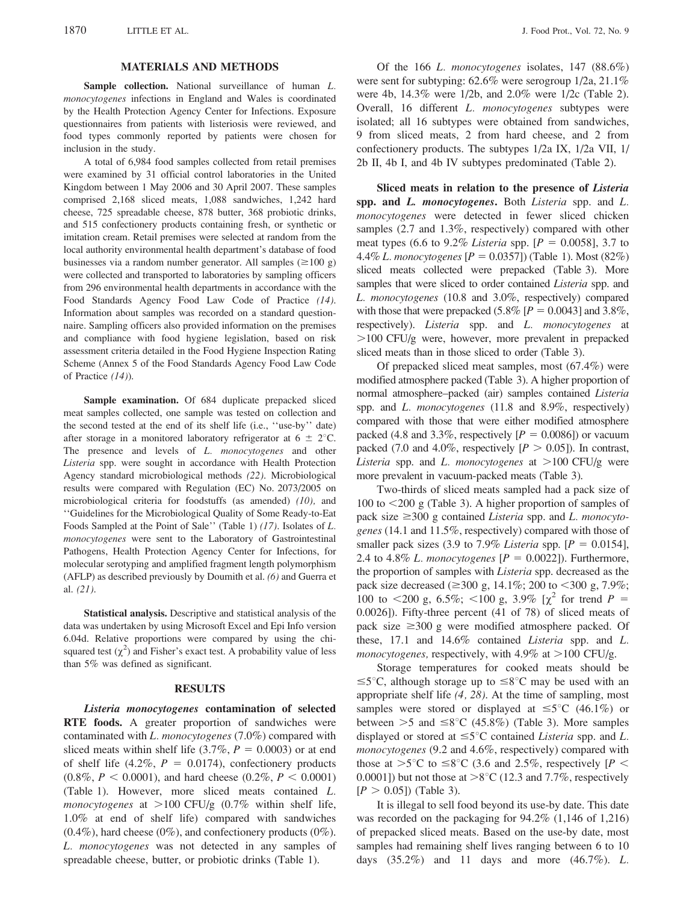#### MATERIALS AND METHODS

Sample collection. National surveillance of human L. monocytogenes infections in England and Wales is coordinated by the Health Protection Agency Center for Infections. Exposure questionnaires from patients with listeriosis were reviewed, and food types commonly reported by patients were chosen for inclusion in the study.

A total of 6,984 food samples collected from retail premises were examined by 31 official control laboratories in the United Kingdom between 1 May 2006 and 30 April 2007. These samples comprised 2,168 sliced meats, 1,088 sandwiches, 1,242 hard cheese, 725 spreadable cheese, 878 butter, 368 probiotic drinks, and 515 confectionery products containing fresh, or synthetic or imitation cream. Retail premises were selected at random from the local authority environmental health department's database of food businesses via a random number generator. All samples  $(\geq 100 \text{ g})$ were collected and transported to laboratories by sampling officers from 296 environmental health departments in accordance with the Food Standards Agency Food Law Code of Practice (14). Information about samples was recorded on a standard questionnaire. Sampling officers also provided information on the premises and compliance with food hygiene legislation, based on risk assessment criteria detailed in the Food Hygiene Inspection Rating Scheme (Annex 5 of the Food Standards Agency Food Law Code of Practice (14)).

Sample examination. Of 684 duplicate prepacked sliced meat samples collected, one sample was tested on collection and the second tested at the end of its shelf life (i.e., ''use-by'' date) after storage in a monitored laboratory refrigerator at  $6 \pm 2^{\circ}$ C. The presence and levels of *L. monocytogenes* and other Listeria spp. were sought in accordance with Health Protection Agency standard microbiological methods (22). Microbiological results were compared with Regulation (EC) No. 2073/2005 on microbiological criteria for foodstuffs (as amended) (10), and ''Guidelines for the Microbiological Quality of Some Ready-to-Eat Foods Sampled at the Point of Sale'' (Table 1) (17). Isolates of L. monocytogenes were sent to the Laboratory of Gastrointestinal Pathogens, Health Protection Agency Center for Infections, for molecular serotyping and amplified fragment length polymorphism (AFLP) as described previously by Doumith et al. (6) and Guerra et al. (21).

Statistical analysis. Descriptive and statistical analysis of the data was undertaken by using Microsoft Excel and Epi Info version 6.04d. Relative proportions were compared by using the chisquared test  $(\chi^2)$  and Fisher's exact test. A probability value of less than 5% was defined as significant.

#### RESULTS

Listeria monocytogenes contamination of selected RTE foods. A greater proportion of sandwiches were contaminated with L. monocytogenes (7.0%) compared with sliced meats within shelf life  $(3.7\%, P = 0.0003)$  or at end of shelf life (4.2%,  $P = 0.0174$ ), confectionery products  $(0.8\%, P < 0.0001)$ , and hard cheese  $(0.2\%, P < 0.0001)$ (Table 1). However, more sliced meats contained L. monocytogenes at  $>100$  CFU/g (0.7% within shelf life, 1.0% at end of shelf life) compared with sandwiches  $(0.4\%)$ , hard cheese  $(0\%)$ , and confectionery products  $(0\%)$ . L. monocytogenes was not detected in any samples of spreadable cheese, butter, or probiotic drinks (Table 1).

Of the 166 L. monocytogenes isolates, 147 (88.6%) were sent for subtyping: 62.6% were serogroup 1/2a, 21.1% were 4b, 14.3% were 1/2b, and 2.0% were 1/2c (Table 2). Overall, 16 different L. monocytogenes subtypes were isolated; all 16 subtypes were obtained from sandwiches, 9 from sliced meats, 2 from hard cheese, and 2 from confectionery products. The subtypes 1/2a IX, 1/2a VII, 1/ 2b II, 4b I, and 4b IV subtypes predominated (Table 2).

Sliced meats in relation to the presence of Listeria spp. and L. monocytogenes. Both Listeria spp. and L. monocytogenes were detected in fewer sliced chicken samples (2.7 and 1.3%, respectively) compared with other meat types (6.6 to 9.2% *Listeria* spp.  $[P = 0.0058]$ , 3.7 to 4.4% L. monocytogenes  $[P = 0.0357]$ ) (Table 1). Most (82%) sliced meats collected were prepacked (Table 3). More samples that were sliced to order contained *Listeria* spp. and L. monocytogenes (10.8 and 3.0%, respectively) compared with those that were prepacked  $(5.8\%$  [ $P = 0.0043$ ] and 3.8%, respectively). Listeria spp. and L. monocytogenes at  $>100$  CFU/g were, however, more prevalent in prepacked sliced meats than in those sliced to order (Table 3).

Of prepacked sliced meat samples, most (67.4%) were modified atmosphere packed (Table 3). A higher proportion of normal atmosphere–packed (air) samples contained Listeria spp. and L. *monocytogenes* (11.8 and 8.9%, respectively) compared with those that were either modified atmosphere packed (4.8 and 3.3%, respectively  $[P = 0.0086]$ ) or vacuum packed (7.0 and 4.0%, respectively  $[P > 0.05]$ ). In contrast, Listeria spp. and L. monocytogenes at  $>100$  CFU/g were more prevalent in vacuum-packed meats (Table 3).

Two-thirds of sliced meats sampled had a pack size of 100 to  $\leq$ 200 g (Table 3). A higher proportion of samples of pack size  $\geq 300$  g contained *Listeria* spp. and *L. monocyto*genes (14.1 and 11.5%, respectively) compared with those of smaller pack sizes (3.9 to 7.9% Listeria spp.  $[P = 0.0154]$ , 2.4 to 4.8% L. monocytogenes  $[P = 0.0022]$ ). Furthermore, the proportion of samples with Listeria spp. decreased as the pack size decreased ( $\geq 300$  g, 14.1%; 200 to <300 g, 7.9%; 100 to <200 g, 6.5%; <100 g, 3.9% [ $\chi^2$  for trend P = 0.0026]). Fifty-three percent (41 of 78) of sliced meats of pack size  $\geq 300$  g were modified atmosphere packed. Of these, 17.1 and 14.6% contained Listeria spp. and L. monocytogenes, respectively, with  $4.9\%$  at  $>$ 100 CFU/g.

Storage temperatures for cooked meats should be  $\leq 5^{\circ}C$ , although storage up to  $\leq 8^{\circ}C$  may be used with an appropriate shelf life (4, 28). At the time of sampling, most samples were stored or displayed at  $\leq 5^{\circ}$ C (46.1%) or between  $>5$  and  $\leq 8^{\circ}$ C (45.8%) (Table 3). More samples displayed or stored at  $\leq 5^{\circ}$ C contained *Listeria* spp. and *L*. monocytogenes (9.2 and 4.6%, respectively) compared with those at >5<sup>°</sup>C to  $\leq$ 8<sup>°</sup>C (3.6 and 2.5%, respectively [P < 0.0001]) but not those at  $>8^{\circ}$ C (12.3 and 7.7%, respectively  $[P > 0.05]$  (Table 3).

It is illegal to sell food beyond its use-by date. This date was recorded on the packaging for 94.2% (1,146 of 1,216) of prepacked sliced meats. Based on the use-by date, most samples had remaining shelf lives ranging between 6 to 10 days  $(35.2\%)$  and 11 days and more  $(46.7\%)$ . L.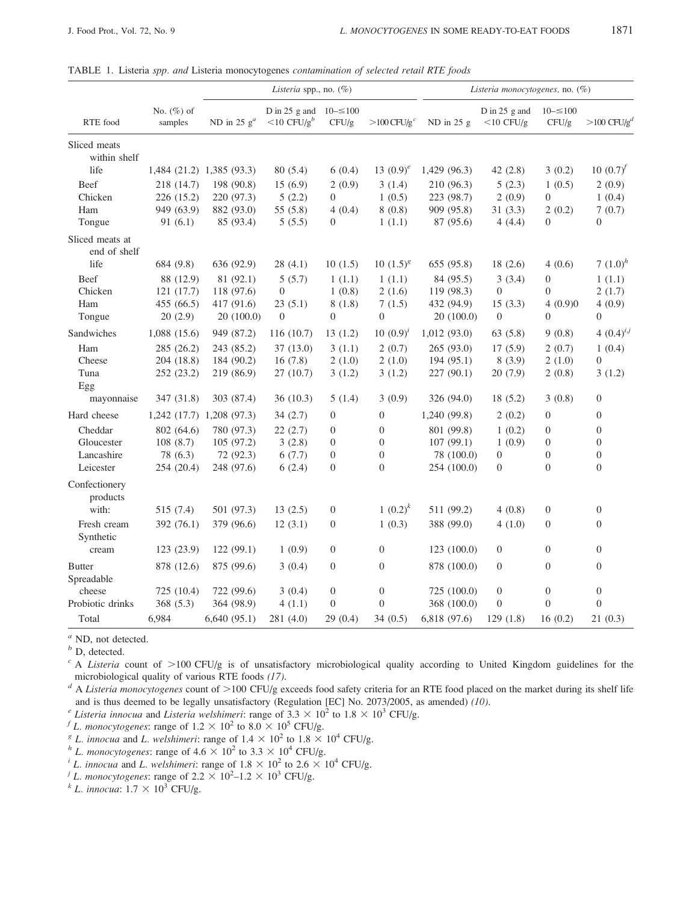|  |  |  |  | TABLE 1. Listeria spp. and Listeria monocytogenes contamination of selected retail RTE foods |  |  |  |  |  |  |  |
|--|--|--|--|----------------------------------------------------------------------------------------------|--|--|--|--|--|--|--|
|--|--|--|--|----------------------------------------------------------------------------------------------|--|--|--|--|--|--|--|

|                                 |                          | Listeria spp., no. $(\%)$ |                                              |                      |                           | Listeria monocytogenes, no. $(\%)$ |                                 |                      |                            |
|---------------------------------|--------------------------|---------------------------|----------------------------------------------|----------------------|---------------------------|------------------------------------|---------------------------------|----------------------|----------------------------|
| RTE food                        | No. $(\%)$ of<br>samples | ND in 25 $g^a$            | D in $25$ g and<br>$<$ 10 CFU/g <sup>b</sup> | $10 - 5100$<br>CFU/g | $>100$ CFU/g <sup>c</sup> | $ND$ in 25 g                       | D in $25$ g and<br>$<$ 10 CFU/g | $10 - 5100$<br>CFU/g | $>$ 100 CFU/g <sup>d</sup> |
| Sliced meats                    |                          |                           |                                              |                      |                           |                                    |                                 |                      |                            |
| within shelf                    |                          |                           |                                              |                      |                           |                                    |                                 |                      |                            |
| life                            |                          | 1,484 (21.2) 1,385 (93.3) | 80(5.4)                                      | 6(0.4)               | 13 $(0.9)^e$              | 1,429 (96.3)                       | 42(2.8)                         | 3(0.2)               | $10 \ (0.7)^f$             |
| Beef                            | 218 (14.7)               | 198 (90.8)                | 15(6.9)                                      | 2(0.9)               | 3(1.4)                    | 210 (96.3)                         | 5(2.3)                          | 1(0.5)               | 2(0.9)                     |
| Chicken                         | 226 (15.2)               | 220 (97.3)                | 5(2.2)                                       | $\Omega$             | 1(0.5)                    | 223 (98.7)                         | 2(0.9)                          | $\overline{0}$       | 1(0.4)                     |
| Ham                             | 949 (63.9)               | 882 (93.0)                | 55(5.8)                                      | 4(0.4)               | 8(0.8)                    | 909 (95.8)                         | 31(3.3)                         | 2(0.2)               | 7(0.7)                     |
| Tongue                          | 91(6.1)                  | 85 (93.4)                 | 5(5.5)                                       | $\Omega$             | 1(1.1)                    | 87 (95.6)                          | 4(4.4)                          | $\overline{0}$       | $\overline{0}$             |
| Sliced meats at<br>end of shelf |                          |                           |                                              |                      |                           |                                    |                                 |                      |                            |
| life                            | 684 (9.8)                | 636 (92.9)                | 28(4.1)                                      | 10(1.5)              | $10(1.5)^{g}$             | 655 (95.8)                         | 18(2.6)                         | 4(0.6)               | 7 $(1.0)^h$                |
| Beef                            | 88 (12.9)                | 81 (92.1)                 | 5(5.7)                                       | 1(1.1)               | 1(1.1)                    | 84 (95.5)                          | 3(3.4)                          | $\boldsymbol{0}$     | 1(1.1)                     |
| Chicken                         | 121 (17.7)               | 118 (97.6)                | $\theta$                                     | 1(0.8)               | 2(1.6)                    | 119 (98.3)                         | $\Omega$                        | $\overline{0}$       | 2(1.7)                     |
| Ham                             | 455 (66.5)               | 417 (91.6)                | 23(5.1)                                      | 8(1.8)               | 7(1.5)                    | 432 (94.9)                         | 15(3.3)                         | 4(0.9)0              | 4(0.9)                     |
| Tongue                          | 20(2.9)                  | 20(100.0)                 | $\theta$                                     | $\overline{0}$       | $\overline{0}$            | 20(100.0)                          | $\overline{0}$                  | $\overline{0}$       | $\boldsymbol{0}$           |
| Sandwiches                      | 1,088 (15.6)             | 949 (87.2)                | 116 (10.7)                                   | 13(1.2)              | 10 $(0.9)^i$              | 1,012 (93.0)                       | 63(5.8)                         | 9(0.8)               | 4 $(0.4)^{i,j}$            |
| Ham                             | 285 (26.2)               | 243 (85.2)                | 37 (13.0)                                    | 3(1.1)               | 2(0.7)                    | 265(93.0)                          | 17(5.9)                         | 2(0.7)               | 1(0.4)                     |
| Cheese                          | 204 (18.8)               | 184 (90.2)                | 16(7.8)                                      | 2(1.0)               | 2(1.0)                    | 194 (95.1)                         | 8(3.9)                          | 2(1.0)               | $\boldsymbol{0}$           |
| Tuna                            | 252 (23.2)               | 219 (86.9)                | 27(10.7)                                     | 3(1.2)               | 3(1.2)                    | 227 (90.1)                         | 20(7.9)                         | 2(0.8)               | 3(1.2)                     |
| Egg                             |                          |                           |                                              |                      |                           |                                    |                                 |                      |                            |
| mayonnaise                      | 347 (31.8)               | 303 (87.4)                | 36(10.3)                                     | 5(1.4)               | 3(0.9)                    | 326 (94.0)                         | 18(5.2)                         | 3(0.8)               | $\boldsymbol{0}$           |
| Hard cheese                     |                          | 1,242 (17.7) 1,208 (97.3) | 34(2.7)                                      | $\boldsymbol{0}$     | $\boldsymbol{0}$          | 1,240 (99.8)                       | 2(0.2)                          | $\boldsymbol{0}$     | $\boldsymbol{0}$           |
| Cheddar                         | 802 (64.6)               | 780 (97.3)                | 22(2.7)                                      | $\boldsymbol{0}$     | $\overline{0}$            | 801 (99.8)                         | 1(0.2)                          | $\overline{0}$       | $\boldsymbol{0}$           |
| Gloucester                      | 108(8.7)                 | 105 (97.2)                | 3(2.8)                                       | $\boldsymbol{0}$     | $\boldsymbol{0}$          | 107 (99.1)                         | 1(0.9)                          | $\boldsymbol{0}$     | $\boldsymbol{0}$           |
| Lancashire                      | 78 (6.3)                 | 72 (92.3)                 | 6(7.7)                                       | $\boldsymbol{0}$     | $\boldsymbol{0}$          | 78 (100.0)                         | $\mathbf{0}$                    | $\boldsymbol{0}$     | $\boldsymbol{0}$           |
| Leicester                       | 254 (20.4)               | 248 (97.6)                | 6(2.4)                                       | $\overline{0}$       | $\overline{0}$            | 254 (100.0)                        | $\overline{0}$                  | $\mathbf{0}$         | $\overline{0}$             |
| Confectionery<br>products       |                          |                           |                                              |                      |                           |                                    |                                 |                      |                            |
| with:                           | 515 (7.4)                | 501 (97.3)                | 13(2.5)                                      | $\boldsymbol{0}$     | 1 $(0.2)^k$               | 511 (99.2)                         | 4(0.8)                          | $\boldsymbol{0}$     | $\boldsymbol{0}$           |
| Fresh cream<br>Synthetic        | 392 (76.1)               | 379 (96.6)                | 12(3.1)                                      | $\boldsymbol{0}$     | 1(0.3)                    | 388 (99.0)                         | 4(1.0)                          | $\boldsymbol{0}$     | $\mathbf{0}$               |
| cream                           | 123 (23.9)               | 122 (99.1)                | 1(0.9)                                       | $\overline{0}$       | $\mathbf{0}$              | 123 (100.0)                        | $\overline{0}$                  | $\overline{0}$       | $\boldsymbol{0}$           |
| <b>Butter</b><br>Spreadable     | 878 (12.6)               | 875 (99.6)                | 3(0.4)                                       | $\overline{0}$       | $\overline{0}$            | 878 (100.0)                        | $\overline{0}$                  | $\mathbf{0}$         | $\boldsymbol{0}$           |
| cheese                          | 725 (10.4)               | 722 (99.6)                | 3(0.4)                                       | $\boldsymbol{0}$     | $\boldsymbol{0}$          | 725 (100.0)                        | $\mathbf{0}$                    | $\boldsymbol{0}$     | $\boldsymbol{0}$           |
| Probiotic drinks                | 368 (5.3)                | 364 (98.9)                | 4(1.1)                                       | $\boldsymbol{0}$     | $\boldsymbol{0}$          | 368 (100.0)                        | $\theta$                        | $\boldsymbol{0}$     | $\boldsymbol{0}$           |
| Total                           | 6,984                    | 6,640(95.1)               | 281 (4.0)                                    | 29(0.4)              | 34(0.5)                   | 6,818 (97.6)                       | 129(1.8)                        | 16(0.2)              | 21(0.3)                    |

 $\alpha$  ND, not detected.

 $<sup>b</sup>$  D, detected.</sup>

 $c$  A Listeria count of >100 CFU/g is of unsatisfactory microbiological quality according to United Kingdom guidelines for the microbiological quality of various RTE foods (17).<br>d A Listeria monocytogenes count of >100 CFU/g exceeds food safety criteria for an RTE food placed on the market during its shelf life

and is thus deemed to be legally unsatisfactory (Regulation [EC] No. 2073/2005, as amended) (10).<br>
<sup>*e*</sup> Listeria innocua and Listeria welshimeri: range of  $3.3 \times 10^2$  to  $1.8 \times 10^3$  CFU/g.<br> *f* L. monocytogenes: range

<sup>8</sup> *L. innocua* and *L. welshimeri*: range of  $1.4 \times 10^2$  to  $1.8 \times 10^4$  CFU/g.<br><sup>h</sup> *L. monocytogenes*: range of  $4.6 \times 10^2$  to  $3.3 \times 10^4$  CFU/g.<br><sup>i</sup> *L. innocua* and *L. welshimeri*: range of  $1.8 \times 10^2$  to  $2.6 \times$ 

<sup>j</sup> L. monocytogenes: range of 2.2  $\times$  10<sup>2</sup>–1.2  $\times$  10<sup>3</sup> CFU/g.<br><sup>k</sup> L. innocua: 1.7  $\times$  10<sup>3</sup> CFU/g.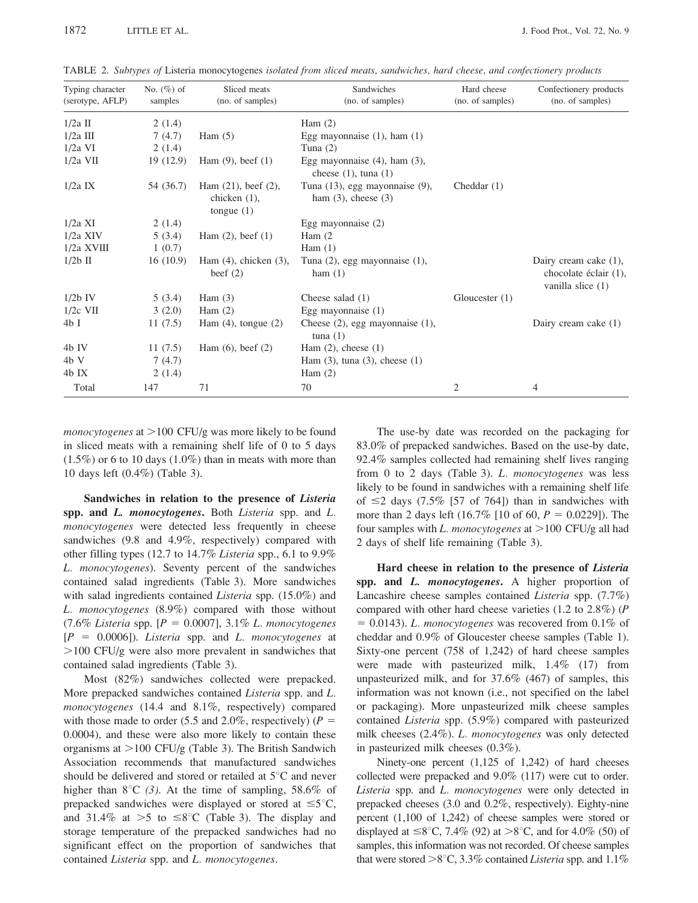| Typing character<br>(serotype, AFLP) | No. $(\%)$ of<br>samples | Sliced meats<br>(no. of samples)                             | Sandwiches<br>(no. of samples)                                  | Hard cheese<br>(no. of samples) | Confectionery products<br>(no. of samples)                          |
|--------------------------------------|--------------------------|--------------------------------------------------------------|-----------------------------------------------------------------|---------------------------------|---------------------------------------------------------------------|
| $1/2a$ II                            | 2(1.4)                   |                                                              | Ham $(2)$                                                       |                                 |                                                                     |
| $1/2a$ III                           | 7(4.7)                   | Ham $(5)$                                                    | Egg mayonnaise $(1)$ , ham $(1)$                                |                                 |                                                                     |
| $1/2a$ VI                            | 2(1.4)                   |                                                              | Tuna $(2)$                                                      |                                 |                                                                     |
| $1/2a$ VII                           | 19(12.9)                 | Ham $(9)$ , beef $(1)$                                       | Egg mayonnaise $(4)$ , ham $(3)$ ,<br>cheese $(1)$ , tuna $(1)$ |                                 |                                                                     |
| $1/2a$ IX                            | 54 (36.7)                | Ham $(21)$ , beef $(2)$ ,<br>chicken $(1)$ ,<br>tongue $(1)$ | Tuna (13), egg mayonnaise (9),<br>ham $(3)$ , cheese $(3)$      | Cheddar $(1)$                   |                                                                     |
| $1/2a$ XI                            | 2(1.4)                   |                                                              | Egg mayonnaise $(2)$                                            |                                 |                                                                     |
| $1/2a$ XIV                           | 5(3.4)                   | Ham $(2)$ , beef $(1)$                                       | Ham $(2)$                                                       |                                 |                                                                     |
| $1/2a$ XVIII                         | 1(0.7)                   |                                                              | Ham $(1)$                                                       |                                 |                                                                     |
| $1/2b$ II                            | 16(10.9)                 | Ham $(4)$ , chicken $(3)$ ,<br>beef $(2)$                    | Tuna $(2)$ , egg mayonnaise $(1)$ ,<br>ham $(1)$                |                                 | Dairy cream cake (1),<br>chocolate éclair (1),<br>vanilla slice (1) |
| $1/2b$ IV                            | 5(3.4)                   | Ham $(3)$                                                    | Cheese salad $(1)$                                              | Gloucester $(1)$                |                                                                     |
| $1/2c$ VII                           | 3(2.0)                   | Ham $(2)$                                                    | Egg mayonnaise $(1)$                                            |                                 |                                                                     |
| 4b <sub>l</sub>                      | 11(7.5)                  | Ham $(4)$ , tongue $(2)$                                     | Cheese $(2)$ , egg mayonnaise $(1)$ ,<br>tuna $(1)$             |                                 | Dairy cream cake (1)                                                |
| 4b IV                                | 11(7.5)                  | Ham $(6)$ , beef $(2)$                                       | Ham $(2)$ , cheese $(1)$                                        |                                 |                                                                     |
| 4bV                                  | 7(4.7)                   |                                                              | Ham $(3)$ , tuna $(3)$ , cheese $(1)$                           |                                 |                                                                     |
| 4b IX                                | 2(1.4)                   |                                                              | Ham $(2)$                                                       |                                 |                                                                     |
| Total                                | 147                      | 71                                                           | 70                                                              | 2                               | $\overline{4}$                                                      |

TABLE 2. Subtypes of Listeria monocytogenes isolated from sliced meats, sandwiches, hard cheese, and confectionery products

 $monocy to genes$  at  $>100$  CFU/g was more likely to be found in sliced meats with a remaining shelf life of 0 to 5 days  $(1.5\%)$  or 6 to 10 days  $(1.0\%)$  than in meats with more than 10 days left (0.4%) (Table 3).

Sandwiches in relation to the presence of Listeria spp. and L. monocytogenes. Both Listeria spp. and L. monocytogenes were detected less frequently in cheese sandwiches (9.8 and 4.9%, respectively) compared with other filling types (12.7 to 14.7% Listeria spp., 6.1 to 9.9% L. monocytogenes). Seventy percent of the sandwiches contained salad ingredients (Table 3). More sandwiches with salad ingredients contained Listeria spp. (15.0%) and L. monocytogenes (8.9%) compared with those without (7.6% Listeria spp.  $[P = 0.0007]$ , 3.1% L. monocytogenes  $[P = 0.0006]$ ). Listeria spp. and L. monocytogenes at  $>100$  CFU/g were also more prevalent in sandwiches that contained salad ingredients (Table 3).

Most (82%) sandwiches collected were prepacked. More prepacked sandwiches contained Listeria spp. and L. monocytogenes (14.4 and 8.1%, respectively) compared with those made to order (5.5 and 2.0%, respectively) ( $P =$ 0.0004), and these were also more likely to contain these organisms at  $>100$  CFU/g (Table 3). The British Sandwich Association recommends that manufactured sandwiches should be delivered and stored or retailed at  $5^{\circ}$ C and never higher than  $8^{\circ}$ C (3). At the time of sampling, 58.6% of prepacked sandwiches were displayed or stored at  $\leq 5^{\circ}C$ , and 31.4% at  $>5$  to  $\leq 8^{\circ}$ C (Table 3). The display and storage temperature of the prepacked sandwiches had no significant effect on the proportion of sandwiches that contained Listeria spp. and L. monocytogenes.

The use-by date was recorded on the packaging for 83.0% of prepacked sandwiches. Based on the use-by date, 92.4% samples collected had remaining shelf lives ranging from 0 to 2 days (Table 3). L. monocytogenes was less likely to be found in sandwiches with a remaining shelf life of  $\leq$  2 days (7.5% [57 of 764]) than in sandwiches with more than 2 days left  $(16.7\% \, [10 \text{ of } 60, P = 0.0229])$ . The four samples with L. monocytogenes at  $>100$  CFU/g all had 2 days of shelf life remaining (Table 3).

Hard cheese in relation to the presence of Listeria spp. and L. monocytogenes. A higher proportion of Lancashire cheese samples contained Listeria spp. (7.7%) compared with other hard cheese varieties (1.2 to 2.8%) (P  $= 0.0143$ ). L. monocytogenes was recovered from  $0.1\%$  of cheddar and 0.9% of Gloucester cheese samples (Table 1). Sixty-one percent (758 of 1,242) of hard cheese samples were made with pasteurized milk, 1.4% (17) from unpasteurized milk, and for 37.6% (467) of samples, this information was not known (i.e., not specified on the label or packaging). More unpasteurized milk cheese samples contained Listeria spp. (5.9%) compared with pasteurized milk cheeses (2.4%). L. monocytogenes was only detected in pasteurized milk cheeses (0.3%).

Ninety-one percent (1,125 of 1,242) of hard cheeses collected were prepacked and 9.0% (117) were cut to order. Listeria spp. and L. monocytogenes were only detected in prepacked cheeses (3.0 and 0.2%, respectively). Eighty-nine percent (1,100 of 1,242) of cheese samples were stored or displayed at  $\leq 8^{\circ}C$ , 7.4% (92) at  $>8^{\circ}C$ , and for 4.0% (50) of samples, this information was not recorded. Of cheese samples that were stored  $>8^{\circ}C$ , 3.3% contained *Listeria* spp. and 1.1%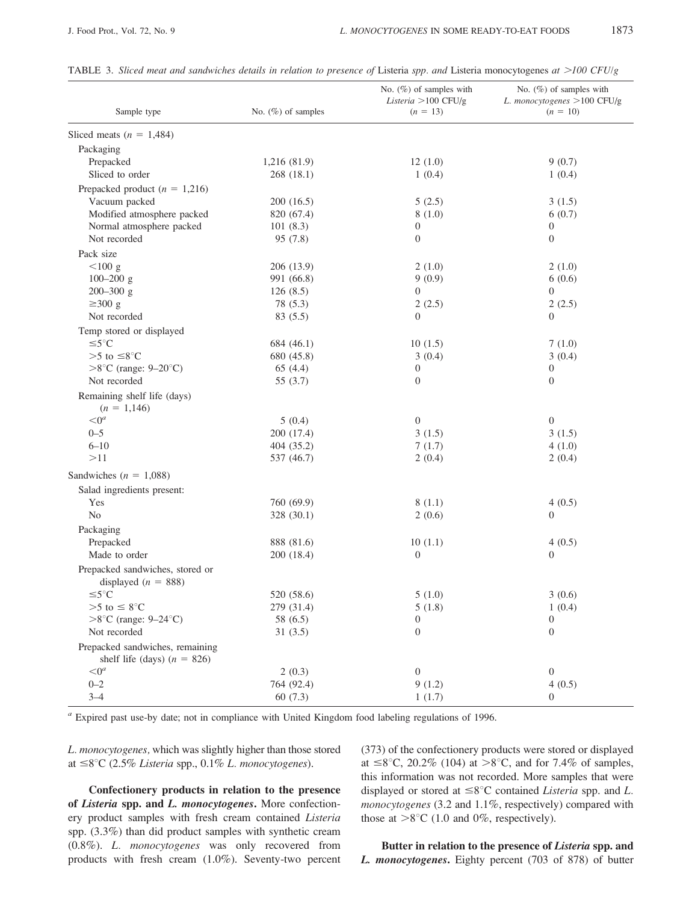|                                                                  |                       | No. $(\%)$ of samples with<br>Listeria $>$ 100 CFU/g | No. $(\%)$ of samples with<br>L. monocytogenes >100 CFU/g |
|------------------------------------------------------------------|-----------------------|------------------------------------------------------|-----------------------------------------------------------|
| Sample type                                                      | No. $(\%)$ of samples | $(n = 13)$                                           | $(n = 10)$                                                |
| Sliced meats $(n = 1,484)$                                       |                       |                                                      |                                                           |
| Packaging                                                        |                       |                                                      |                                                           |
| Prepacked                                                        | 1,216 (81.9)          | 12(1.0)                                              | 9(0.7)                                                    |
| Sliced to order                                                  | 268(18.1)             | 1(0.4)                                               | 1(0.4)                                                    |
| Prepacked product ( $n = 1,216$ )                                |                       |                                                      |                                                           |
| Vacuum packed                                                    | 200(16.5)             | 5(2.5)                                               | 3(1.5)                                                    |
| Modified atmosphere packed                                       | 820 (67.4)            | 8(1.0)                                               | 6(0.7)                                                    |
| Normal atmosphere packed                                         | 101(8.3)              | $\mathbf{0}$                                         | $\boldsymbol{0}$                                          |
| Not recorded                                                     | 95 (7.8)              | $\theta$                                             | $\overline{0}$                                            |
| Pack size                                                        |                       |                                                      |                                                           |
| $< 100$ g                                                        | 206 (13.9)            | 2(1.0)                                               | 2(1.0)                                                    |
| $100 - 200$ g                                                    | 991 (66.8)            | 9(0.9)                                               | 6(0.6)                                                    |
| $200 - 300$ g                                                    | 126(8.5)              | $\mathbf{0}$                                         | $\mathbf{0}$                                              |
| $\geq$ 300 g                                                     | 78 (5.3)              | 2(2.5)                                               | 2(2.5)                                                    |
| Not recorded                                                     | 83(5.5)               | $\mathbf{0}$                                         | $\overline{0}$                                            |
| Temp stored or displayed                                         |                       |                                                      |                                                           |
| $\leq 5^{\circ}C$                                                | 684 (46.1)            | 10(1.5)                                              | 7(1.0)                                                    |
| $>5$ to $\leq 8^{\circ}$ C                                       | 680 (45.8)            | 3(0.4)                                               | 3(0.4)                                                    |
| $>8^{\circ}$ C (range: 9–20 $^{\circ}$ C)                        | 65(4.4)               | $\boldsymbol{0}$                                     | $\boldsymbol{0}$                                          |
| Not recorded                                                     | 55(3.7)               | $\boldsymbol{0}$                                     | $\boldsymbol{0}$                                          |
| Remaining shelf life (days)                                      |                       |                                                      |                                                           |
| $(n = 1,146)$                                                    |                       |                                                      |                                                           |
| $<0^a$                                                           | 5(0.4)                | $\boldsymbol{0}$                                     | $\boldsymbol{0}$                                          |
| $0 - 5$                                                          | 200 (17.4)            | 3(1.5)                                               | 3(1.5)                                                    |
| $6 - 10$                                                         | 404(35.2)             | 7(1.7)                                               | 4(1.0)                                                    |
| >11                                                              | 537 (46.7)            | 2(0.4)                                               | 2(0.4)                                                    |
| Sandwiches ( $n = 1,088$ )                                       |                       |                                                      |                                                           |
| Salad ingredients present:                                       |                       |                                                      |                                                           |
| Yes                                                              | 760 (69.9)            | 8(1.1)                                               | 4(0.5)                                                    |
| No                                                               | 328 (30.1)            | 2(0.6)                                               | $\boldsymbol{0}$                                          |
| Packaging                                                        |                       |                                                      |                                                           |
| Prepacked                                                        | 888 (81.6)            | 10(1.1)                                              | 4(0.5)                                                    |
| Made to order                                                    | 200 (18.4)            | $\boldsymbol{0}$                                     | $\boldsymbol{0}$                                          |
| Prepacked sandwiches, stored or<br>displayed ( $n = 888$ )       |                       |                                                      |                                                           |
| $\leq 5^{\circ}C$                                                | 520 (58.6)            | 5(1.0)                                               | 3(0.6)                                                    |
| $>5$ to $\leq 8^{\circ}$ C                                       | 279 (31.4)            | 5(1.8)                                               | 1(0.4)                                                    |
| $>8^{\circ}$ C (range: 9-24 $^{\circ}$ C)                        | 58 (6.5)              | $\boldsymbol{0}$                                     | $\boldsymbol{0}$                                          |
| Not recorded                                                     | 31(3.5)               | $\boldsymbol{0}$                                     | $\boldsymbol{0}$                                          |
| Prepacked sandwiches, remaining<br>shelf life (days) $(n = 826)$ |                       |                                                      |                                                           |
| $<$ 0 <sup>a</sup>                                               | 2(0.3)                | $\boldsymbol{0}$                                     | $\boldsymbol{0}$                                          |
| $0 - 2$                                                          | 764 (92.4)            | 9(1.2)                                               | 4(0.5)                                                    |
| $3 - 4$                                                          | 60(7.3)               | 1(1.7)                                               | $\overline{0}$                                            |

TABLE 3. Sliced meat and sandwiches details in relation to presence of Listeria spp. and Listeria monocytogenes at  $>$ 100 CFU/g

<sup>a</sup> Expired past use-by date; not in compliance with United Kingdom food labeling regulations of 1996.

L. monocytogenes, which was slightly higher than those stored at  $\leq$ 8°C (2.5% Listeria spp., 0.1% L. monocytogenes).

Confectionery products in relation to the presence of Listeria spp. and L. monocytogenes. More confectionery product samples with fresh cream contained Listeria spp. (3.3%) than did product samples with synthetic cream (0.8%). L. monocytogenes was only recovered from products with fresh cream (1.0%). Seventy-two percent (373) of the confectionery products were stored or displayed at  $\leq 8^{\circ}$ C, 20.2% (104) at  $> 8^{\circ}$ C, and for 7.4% of samples, this information was not recorded. More samples that were displayed or stored at  $\leq 8^{\circ}$ C contained *Listeria* spp. and *L*. monocytogenes (3.2 and 1.1%, respectively) compared with those at  $>8^{\circ}$ C (1.0 and 0%, respectively).

Butter in relation to the presence of Listeria spp. and L. monocytogenes. Eighty percent (703 of 878) of butter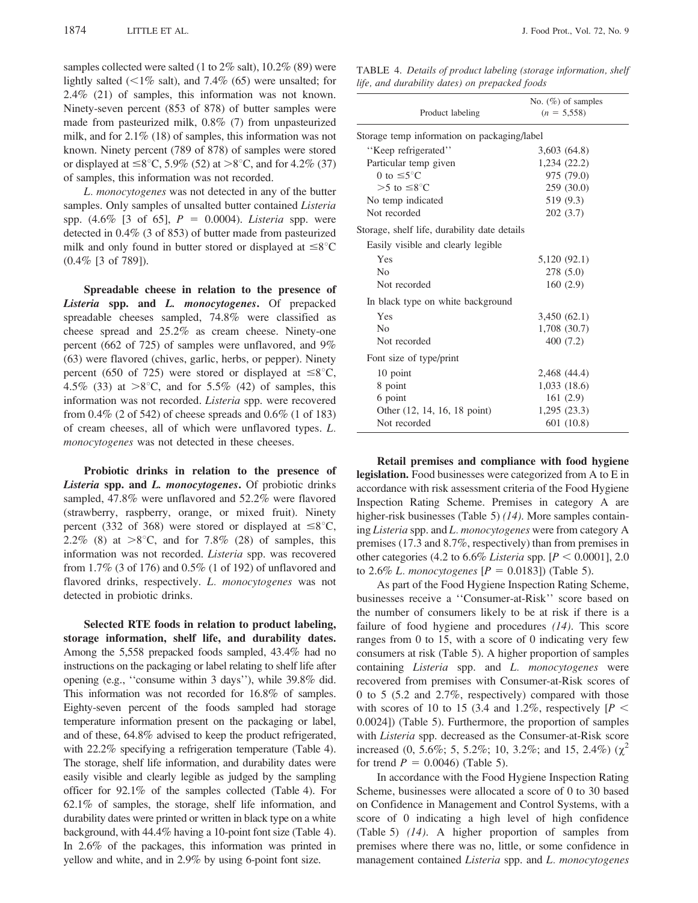samples collected were salted (1 to 2% salt), 10.2% (89) were lightly salted ( $\leq$ 1% salt), and 7.4% (65) were unsalted; for 2.4% (21) of samples, this information was not known. Ninety-seven percent (853 of 878) of butter samples were made from pasteurized milk, 0.8% (7) from unpasteurized milk, and for 2.1% (18) of samples, this information was not known. Ninety percent (789 of 878) of samples were stored or displayed at  $\leq 8^{\circ}\text{C}$ , 5.9% (52) at  $>8^{\circ}\text{C}$ , and for 4.2% (37) of samples, this information was not recorded.

L. monocytogenes was not detected in any of the butter samples. Only samples of unsalted butter contained Listeria spp.  $(4.6\%$  [3 of 65],  $P = 0.0004$ ). Listeria spp. were detected in 0.4% (3 of 853) of butter made from pasteurized milk and only found in butter stored or displayed at  $\leq 8^{\circ}C$ (0.4% [3 of 789]).

Spreadable cheese in relation to the presence of Listeria spp. and L. monocytogenes. Of prepacked spreadable cheeses sampled, 74.8% were classified as cheese spread and 25.2% as cream cheese. Ninety-one percent (662 of 725) of samples were unflavored, and 9% (63) were flavored (chives, garlic, herbs, or pepper). Ninety percent (650 of 725) were stored or displayed at  $\leq 8^{\circ}C$ , 4.5% (33) at  $>8^{\circ}$ C, and for 5.5% (42) of samples, this information was not recorded. Listeria spp. were recovered from  $0.4\%$  (2 of 542) of cheese spreads and  $0.6\%$  (1 of 183) of cream cheeses, all of which were unflavored types. L. monocytogenes was not detected in these cheeses.

Probiotic drinks in relation to the presence of Listeria spp. and L. monocytogenes. Of probiotic drinks sampled, 47.8% were unflavored and 52.2% were flavored (strawberry, raspberry, orange, or mixed fruit). Ninety percent (332 of 368) were stored or displayed at  $\leq 8^{\circ}C$ , 2.2% (8) at  $>8^{\circ}$ C, and for 7.8% (28) of samples, this information was not recorded. Listeria spp. was recovered from 1.7% (3 of 176) and 0.5% (1 of 192) of unflavored and flavored drinks, respectively. L. monocytogenes was not detected in probiotic drinks.

Selected RTE foods in relation to product labeling, storage information, shelf life, and durability dates. Among the 5,558 prepacked foods sampled, 43.4% had no instructions on the packaging or label relating to shelf life after opening (e.g., ''consume within 3 days''), while 39.8% did. This information was not recorded for 16.8% of samples. Eighty-seven percent of the foods sampled had storage temperature information present on the packaging or label, and of these, 64.8% advised to keep the product refrigerated, with 22.2% specifying a refrigeration temperature (Table 4). The storage, shelf life information, and durability dates were easily visible and clearly legible as judged by the sampling officer for 92.1% of the samples collected (Table 4). For 62.1% of samples, the storage, shelf life information, and durability dates were printed or written in black type on a white background, with 44.4% having a 10-point font size (Table 4). In 2.6% of the packages, this information was printed in yellow and white, and in 2.9% by using 6-point font size.

TABLE 4. Details of product labeling (storage information, shelf life, and durability dates) on prepacked foods

| Product labeling                             | No. $(\%)$ of samples<br>$(n = 5,558)$ |
|----------------------------------------------|----------------------------------------|
| Storage temp information on packaging/label  |                                        |
| "Keep refrigerated"                          | 3,603 (64.8)                           |
| Particular temp given                        | 1,234 (22.2)                           |
| 0 to $\leq 5^{\circ}$ C                      | 975 (79.0)                             |
| $>5$ to $\leq 8^{\circ}$ C                   | 259 (30.0)                             |
| No temp indicated                            | 519 (9.3)                              |
| Not recorded                                 | 202(3.7)                               |
| Storage, shelf life, durability date details |                                        |
| Easily visible and clearly legible           |                                        |
| Yes                                          | 5,120 (92.1)                           |
| N <sub>0</sub>                               | 278 (5.0)                              |
| Not recorded                                 | 160(2.9)                               |
| In black type on white background            |                                        |
| Yes                                          | 3,450(62.1)                            |
| Nο                                           | 1,708 (30.7)                           |
| Not recorded                                 | 400 (7.2)                              |
| Font size of type/print                      |                                        |
| 10 point                                     | 2,468 (44.4)                           |
| 8 point                                      | 1,033(18.6)                            |
| 6 point                                      | 161(2.9)                               |
| Other (12, 14, 16, 18 point)                 | 1,295(23.3)                            |
| Not recorded                                 | 601 (10.8)                             |

Retail premises and compliance with food hygiene legislation. Food businesses were categorized from A to E in accordance with risk assessment criteria of the Food Hygiene Inspection Rating Scheme. Premises in category A are higher-risk businesses (Table 5) (14). More samples containing Listeria spp. and L. monocytogenes were from category A premises (17.3 and 8.7%, respectively) than from premises in other categories (4.2 to 6.6% Listeria spp.  $[P \le 0.0001]$ , 2.0 to 2.6% *L. monocytogenes*  $[P = 0.0183]$ ) (Table 5).

As part of the Food Hygiene Inspection Rating Scheme, businesses receive a ''Consumer-at-Risk'' score based on the number of consumers likely to be at risk if there is a failure of food hygiene and procedures (14). This score ranges from 0 to 15, with a score of 0 indicating very few consumers at risk (Table 5). A higher proportion of samples containing *Listeria* spp. and *L. monocytogenes* were recovered from premises with Consumer-at-Risk scores of 0 to 5 (5.2 and 2.7%, respectively) compared with those with scores of 10 to 15 (3.4 and 1.2%, respectively  $[P \leq$ 0.0024]) (Table 5). Furthermore, the proportion of samples with Listeria spp. decreased as the Consumer-at-Risk score increased (0, 5.6%; 5, 5.2%; 10, 3.2%; and 15, 2.4%) ( $\chi^2$ for trend  $P = 0.0046$ ) (Table 5).

In accordance with the Food Hygiene Inspection Rating Scheme, businesses were allocated a score of 0 to 30 based on Confidence in Management and Control Systems, with a score of 0 indicating a high level of high confidence (Table 5) (14). A higher proportion of samples from premises where there was no, little, or some confidence in management contained *Listeria* spp. and *L. monocytogenes*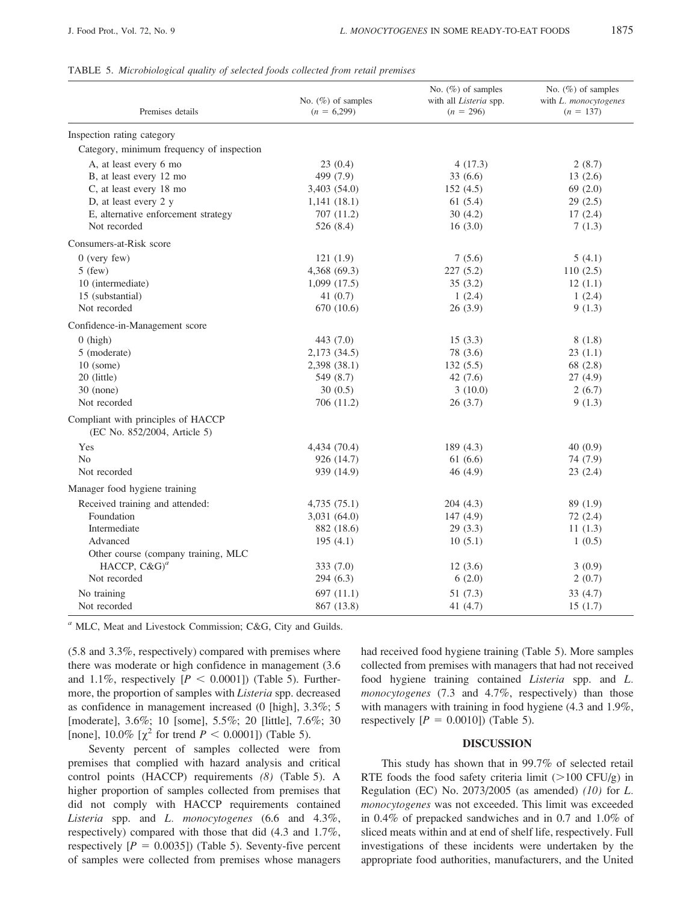#### TABLE 5. Microbiological quality of selected foods collected from retail premises

| Premises details                                                   | No. $(\%)$ of samples<br>$(n = 6,299)$ | No. $(\%)$ of samples<br>with all <i>Listeria</i> spp.<br>$(n = 296)$ | No. $(\%)$ of samples<br>with L. monocytogenes<br>$(n = 137)$ |
|--------------------------------------------------------------------|----------------------------------------|-----------------------------------------------------------------------|---------------------------------------------------------------|
| Inspection rating category                                         |                                        |                                                                       |                                                               |
| Category, minimum frequency of inspection                          |                                        |                                                                       |                                                               |
| A, at least every 6 mo                                             | 23(0.4)                                | 4(17.3)                                                               | 2(8.7)                                                        |
| B, at least every 12 mo                                            | 499 (7.9)                              | 33(6.6)                                                               | 13(2.6)                                                       |
| C, at least every 18 mo                                            | 3,403(54.0)                            | 152(4.5)                                                              | 69(2.0)                                                       |
| D, at least every 2 y                                              | 1,141(18.1)                            | 61(5.4)                                                               | 29(2.5)                                                       |
| E, alternative enforcement strategy                                | 707 (11.2)                             | 30(4.2)                                                               | 17(2.4)                                                       |
| Not recorded                                                       | 526 (8.4)                              | 16(3.0)                                                               | 7(1.3)                                                        |
| Consumers-at-Risk score                                            |                                        |                                                                       |                                                               |
| $0$ (very few)                                                     | 121(1.9)                               | 7(5.6)                                                                | 5(4.1)                                                        |
| $5$ (few)                                                          | 4,368 (69.3)                           | 227(5.2)                                                              | 110(2.5)                                                      |
| 10 (intermediate)                                                  | 1,099(17.5)                            | 35(3.2)                                                               | 12(1.1)                                                       |
| 15 (substantial)                                                   | 41 $(0.7)$                             | 1(2.4)                                                                | 1(2.4)                                                        |
| Not recorded                                                       | 670 (10.6)                             | 26(3.9)                                                               | 9(1.3)                                                        |
| Confidence-in-Management score                                     |                                        |                                                                       |                                                               |
| $0$ (high)                                                         | 443 (7.0)                              | 15(3.3)                                                               | 8(1.8)                                                        |
| 5 (moderate)                                                       | 2,173 (34.5)                           | 78 (3.6)                                                              | 23(1.1)                                                       |
| $10$ (some)                                                        | 2,398 (38.1)                           | 132(5.5)                                                              | 68 (2.8)                                                      |
| 20 (little)                                                        | 549 (8.7)                              | 42(7.6)                                                               | 27(4.9)                                                       |
| $30$ (none)                                                        | 30(0.5)                                | 3(10.0)                                                               | 2(6.7)                                                        |
| Not recorded                                                       | 706 (11.2)                             | 26(3.7)                                                               | 9(1.3)                                                        |
| Compliant with principles of HACCP<br>(EC No. 852/2004, Article 5) |                                        |                                                                       |                                                               |
| Yes                                                                | 4,434 (70.4)                           | 189(4.3)                                                              | 40(0.9)                                                       |
| No                                                                 | 926 (14.7)                             | 61(6.6)                                                               | 74 (7.9)                                                      |
| Not recorded                                                       | 939 (14.9)                             | 46 (4.9)                                                              | 23(2.4)                                                       |
| Manager food hygiene training                                      |                                        |                                                                       |                                                               |
| Received training and attended:                                    | 4,735(75.1)                            | 204 (4.3)                                                             | 89 (1.9)                                                      |
| Foundation                                                         | 3,031(64.0)                            | 147(4.9)                                                              | 72(2.4)                                                       |
| Intermediate                                                       | 882 (18.6)                             | 29(3.3)                                                               | 11(1.3)                                                       |
| Advanced                                                           | 195(4.1)                               | 10(5.1)                                                               | 1(0.5)                                                        |
| Other course (company training, MLC                                |                                        |                                                                       |                                                               |
| HACCP, $C\&G)^d$                                                   | 333 (7.0)                              | 12(3.6)                                                               | 3(0.9)                                                        |
| Not recorded                                                       | 294 (6.3)                              | 6(2.0)                                                                | 2(0.7)                                                        |
| No training                                                        | 697(11.1)                              | 51 (7.3)                                                              | 33(4.7)                                                       |
| Not recorded                                                       | 867 (13.8)                             | 41 $(4.7)$                                                            | 15(1.7)                                                       |

<sup>a</sup> MLC, Meat and Livestock Commission; C&G, City and Guilds.

(5.8 and 3.3%, respectively) compared with premises where there was moderate or high confidence in management (3.6 and 1.1%, respectively  $[P \le 0.0001]$ ) (Table 5). Furthermore, the proportion of samples with Listeria spp. decreased as confidence in management increased (0 [high], 3.3%; 5 [moderate], 3.6%; 10 [some], 5.5%; 20 [little], 7.6%; 30 [none],  $10.0\%$  [ $\chi^2$  for trend  $P < 0.0001$ ]) (Table 5).

Seventy percent of samples collected were from premises that complied with hazard analysis and critical control points (HACCP) requirements (8) (Table 5). A higher proportion of samples collected from premises that did not comply with HACCP requirements contained Listeria spp. and L. monocytogenes (6.6 and 4.3%, respectively) compared with those that did (4.3 and 1.7%, respectively  $[P = 0.0035]$  (Table 5). Seventy-five percent of samples were collected from premises whose managers

had received food hygiene training (Table 5). More samples collected from premises with managers that had not received food hygiene training contained Listeria spp. and L. monocytogenes (7.3 and 4.7%, respectively) than those with managers with training in food hygiene (4.3 and 1.9%, respectively  $[P = 0.0010]$  (Table 5).

#### DISCUSSION

This study has shown that in 99.7% of selected retail RTE foods the food safety criteria limit  $(>100 \text{ CFU/g})$  in Regulation (EC) No.  $2073/2005$  (as amended) (10) for L. monocytogenes was not exceeded. This limit was exceeded in 0.4% of prepacked sandwiches and in 0.7 and 1.0% of sliced meats within and at end of shelf life, respectively. Full investigations of these incidents were undertaken by the appropriate food authorities, manufacturers, and the United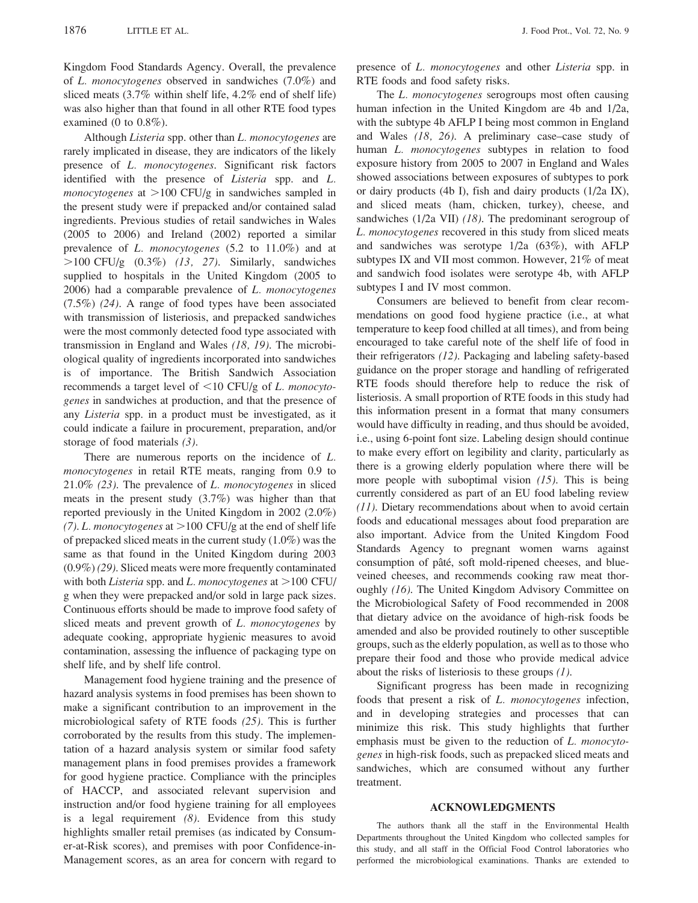Kingdom Food Standards Agency. Overall, the prevalence of L. monocytogenes observed in sandwiches (7.0%) and sliced meats (3.7% within shelf life, 4.2% end of shelf life) was also higher than that found in all other RTE food types examined (0 to  $0.8\%$ ).

Although Listeria spp. other than L. monocytogenes are rarely implicated in disease, they are indicators of the likely presence of L. monocytogenes. Significant risk factors identified with the presence of Listeria spp. and L. *monocytogenes* at  $>100$  CFU/g in sandwiches sampled in the present study were if prepacked and/or contained salad ingredients. Previous studies of retail sandwiches in Wales (2005 to 2006) and Ireland (2002) reported a similar prevalence of L. monocytogenes (5.2 to 11.0%) and at  $>100$  CFU/g  $(0.3\%)$  (13, 27). Similarly, sandwiches supplied to hospitals in the United Kingdom (2005 to 2006) had a comparable prevalence of L. monocytogenes (7.5%) (24). A range of food types have been associated with transmission of listeriosis, and prepacked sandwiches were the most commonly detected food type associated with transmission in England and Wales (18, 19). The microbiological quality of ingredients incorporated into sandwiches is of importance. The British Sandwich Association recommends a target level of  $\langle 10 \text{ CFU/g of } L.$  monocytogenes in sandwiches at production, and that the presence of any Listeria spp. in a product must be investigated, as it could indicate a failure in procurement, preparation, and/or storage of food materials (3).

There are numerous reports on the incidence of L. monocytogenes in retail RTE meats, ranging from 0.9 to 21.0% (23). The prevalence of L. monocytogenes in sliced meats in the present study (3.7%) was higher than that reported previously in the United Kingdom in 2002 (2.0%) (7). L. monocytogenes at  $>$ 100 CFU/g at the end of shelf life of prepacked sliced meats in the current study (1.0%) was the same as that found in the United Kingdom during 2003 (0.9%) (29). Sliced meats were more frequently contaminated with both *Listeria* spp. and *L. monocytogenes* at  $>100$  CFU/ g when they were prepacked and/or sold in large pack sizes. Continuous efforts should be made to improve food safety of sliced meats and prevent growth of L. monocytogenes by adequate cooking, appropriate hygienic measures to avoid contamination, assessing the influence of packaging type on shelf life, and by shelf life control.

Management food hygiene training and the presence of hazard analysis systems in food premises has been shown to make a significant contribution to an improvement in the microbiological safety of RTE foods (25). This is further corroborated by the results from this study. The implementation of a hazard analysis system or similar food safety management plans in food premises provides a framework for good hygiene practice. Compliance with the principles of HACCP, and associated relevant supervision and instruction and/or food hygiene training for all employees is a legal requirement  $(8)$ . Evidence from this study highlights smaller retail premises (as indicated by Consumer-at-Risk scores), and premises with poor Confidence-in-Management scores, as an area for concern with regard to

presence of L. monocytogenes and other Listeria spp. in RTE foods and food safety risks.

The L. monocytogenes serogroups most often causing human infection in the United Kingdom are 4b and 1/2a, with the subtype 4b AFLP I being most common in England and Wales (18, 26). A preliminary case–case study of human L. monocytogenes subtypes in relation to food exposure history from 2005 to 2007 in England and Wales showed associations between exposures of subtypes to pork or dairy products (4b I), fish and dairy products (1/2a IX), and sliced meats (ham, chicken, turkey), cheese, and sandwiches (1/2a VII) (18). The predominant serogroup of L. monocytogenes recovered in this study from sliced meats and sandwiches was serotype 1/2a (63%), with AFLP subtypes IX and VII most common. However, 21% of meat and sandwich food isolates were serotype 4b, with AFLP subtypes I and IV most common.

Consumers are believed to benefit from clear recommendations on good food hygiene practice (i.e., at what temperature to keep food chilled at all times), and from being encouraged to take careful note of the shelf life of food in their refrigerators (12). Packaging and labeling safety-based guidance on the proper storage and handling of refrigerated RTE foods should therefore help to reduce the risk of listeriosis. A small proportion of RTE foods in this study had this information present in a format that many consumers would have difficulty in reading, and thus should be avoided, i.e., using 6-point font size. Labeling design should continue to make every effort on legibility and clarity, particularly as there is a growing elderly population where there will be more people with suboptimal vision (15). This is being currently considered as part of an EU food labeling review (11). Dietary recommendations about when to avoid certain foods and educational messages about food preparation are also important. Advice from the United Kingdom Food Standards Agency to pregnant women warns against consumption of pâté, soft mold-ripened cheeses, and blueveined cheeses, and recommends cooking raw meat thoroughly (16). The United Kingdom Advisory Committee on the Microbiological Safety of Food recommended in 2008 that dietary advice on the avoidance of high-risk foods be amended and also be provided routinely to other susceptible groups, such as the elderly population, as well as to those who prepare their food and those who provide medical advice about the risks of listeriosis to these groups  $(1)$ .

Significant progress has been made in recognizing foods that present a risk of L. monocytogenes infection, and in developing strategies and processes that can minimize this risk. This study highlights that further emphasis must be given to the reduction of L. monocytogenes in high-risk foods, such as prepacked sliced meats and sandwiches, which are consumed without any further treatment.

## ACKNOWLEDGMENTS

The authors thank all the staff in the Environmental Health Departments throughout the United Kingdom who collected samples for this study, and all staff in the Official Food Control laboratories who performed the microbiological examinations. Thanks are extended to